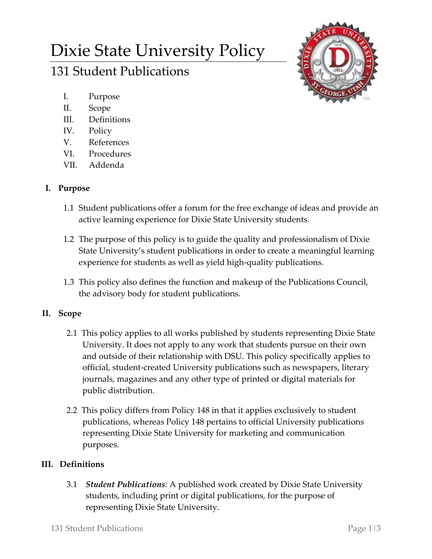# Dixie State University Policy

# 131 Student Publications



- I. Purpose
- II. Scope
- III. Definitions
- IV. Policy
- V. References
- VI. Procedures
- VII. Addenda

## **I. Purpose**

- 1.1 Student publications offer a forum for the free exchange of ideas and provide an active learning experience for Dixie State University students.
- 1.2 The purpose of this policy is to guide the quality and professionalism of Dixie State University's student publications in order to create a meaningful learning experience for students as well as yield high-quality publications.
- 1.3 This policy also defines the function and makeup of the Publications Council, the advisory body for student publications.

# **II. Scope**

- 2.1 This policy applies to all works published by students representing Dixie State University. It does not apply to any work that students pursue on their own and outside of their relationship with DSU. This policy specifically applies to official, student-created University publications such as newspapers, literary journals, magazines and any other type of printed or digital materials for public distribution.
- 2.2 This policy differs from Policy 148 in that it applies exclusively to student publications, whereas Policy 148 pertains to official University publications representing Dixie State University for marketing and communication purposes.

# **III. Definitions**

3.1 *Student Publications:* A published work created by Dixie State University students, including print or digital publications, for the purpose of representing Dixie State University.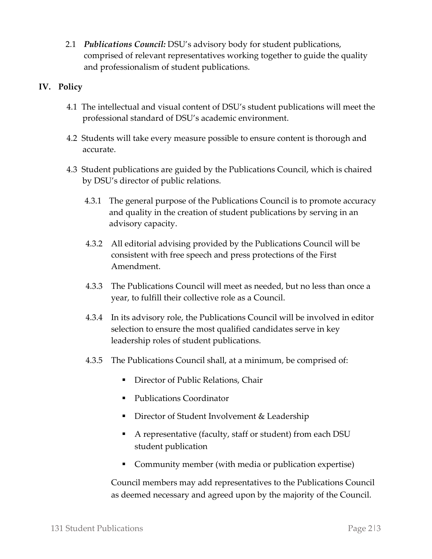2.1 *Publications Council:* DSU's advisory body for student publications, comprised of relevant representatives working together to guide the quality and professionalism of student publications.

### **IV. Policy**

- 4.1 The intellectual and visual content of DSU's student publications will meet the professional standard of DSU's academic environment.
- 4.2 Students will take every measure possible to ensure content is thorough and accurate.
- 4.3 Student publications are guided by the Publications Council, which is chaired by DSU's director of public relations.
	- 4.3.1 The general purpose of the Publications Council is to promote accuracy and quality in the creation of student publications by serving in an advisory capacity.
	- 4.3.2 All editorial advising provided by the Publications Council will be consistent with free speech and press protections of the First Amendment.
	- 4.3.3 The Publications Council will meet as needed, but no less than once a year, to fulfill their collective role as a Council.
	- 4.3.4 In its advisory role, the Publications Council will be involved in editor selection to ensure the most qualified candidates serve in key leadership roles of student publications.
	- 4.3.5 The Publications Council shall, at a minimum, be comprised of:
		- **Director of Public Relations, Chair**
		- Publications Coordinator
		- **Director of Student Involvement & Leadership**
		- A representative (faculty, staff or student) from each DSU student publication
		- Community member (with media or publication expertise)

Council members may add representatives to the Publications Council as deemed necessary and agreed upon by the majority of the Council.